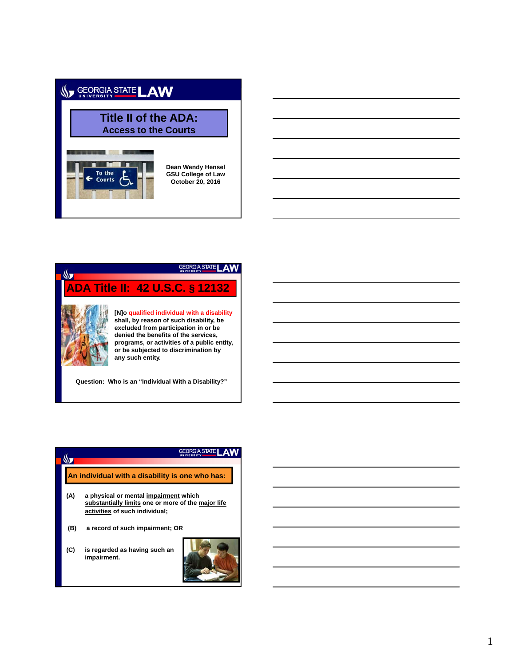# SEORGIA STATE LAW

## **Title II of the ADA: Access to the Courts**



**Dean Wendy Hensel GSU College of Law October 20, 2016**

## GEORGIA STATE LAW  $\sqrt{2}$ **ADA Title II: 42 U.S.C. § 12132 [N]o qualified individual with a disability shall, by reason of such disability, be excluded from participation in or be denied the benefits of the services, programs, or activities of a public entity, or be subjected to discrimination by any such entity.**

**Question: Who is an "Individual With a Disability?"**



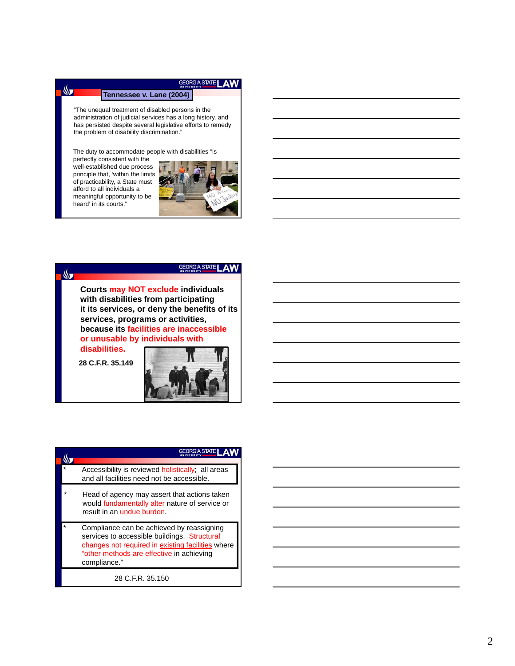## **GEORGIA STATE LAW**

#### **Tennessee v. Lane (2004)**

"The unequal treatment of disabled persons in the administration of judicial services has a long history, and has persisted despite several legislative efforts to remedy the problem of disability discrimination."

The duty to accommodate people with disabilities "is

perfectly consistent with the well-established due process principle that, 'within the limits of practicability, a State must afford to all individuals a meaningful opportunity to be heard' in its courts."

 $\mathbb{S}$ 





**28 C.F.R. 35.149**



| <b>RGIA STATE</b>                                                                                                                                                                                           |
|-------------------------------------------------------------------------------------------------------------------------------------------------------------------------------------------------------------|
|                                                                                                                                                                                                             |
| Accessibility is reviewed holistically; all areas<br>and all facilities need not be accessible.                                                                                                             |
| Head of agency may assert that actions taken<br>would fundamentally alter nature of service or<br>result in an undue burden.                                                                                |
| Compliance can be achieved by reassigning<br>services to accessible buildings. Structural<br>changes not required in existing facilities where<br>"other methods are effective in achieving<br>compliance." |
| 28 C.F.R. 35.150                                                                                                                                                                                            |

#### 2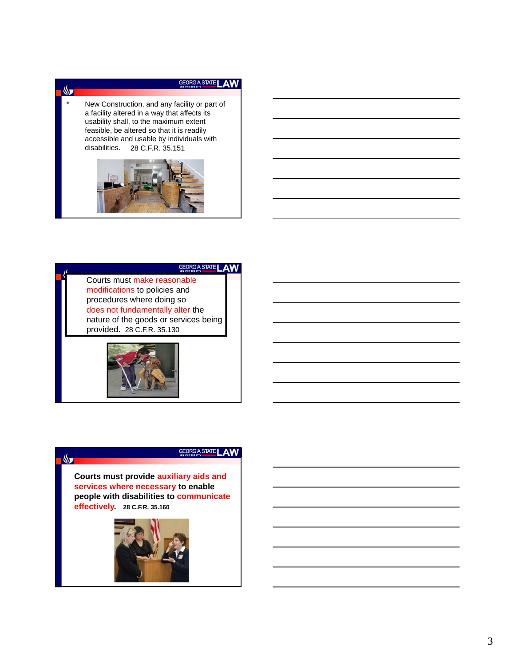## GEORGIA STATE LAW

New Construction, and any facility or part of a facility altered in a way that affects its usability shall, to the maximum extent feasible, be altered so that it is readily accessible and usable by individuals with<br>disabilities. 28 C.F.R. 35.151 28 C.F.R. 35.151

 $\mathbb{S}$